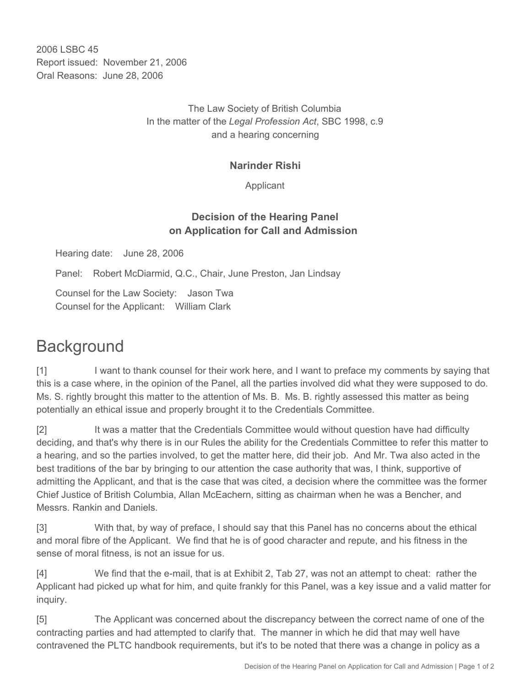2006 LSBC 45 Report issued: November 21, 2006 Oral Reasons: June 28, 2006

> The Law Society of British Columbia In the matter of the *Legal Profession Act*, SBC 1998, c.9 and a hearing concerning

## **Narinder Rishi**

Applicant

## **Decision of the Hearing Panel on Application for Call and Admission**

Hearing date: June 28, 2006

Panel: Robert McDiarmid, Q.C., Chair, June Preston, Jan Lindsay

Counsel for the Law Society: Jason Twa Counsel for the Applicant: William Clark

## **Background**

[1] I want to thank counsel for their work here, and I want to preface my comments by saying that this is a case where, in the opinion of the Panel, all the parties involved did what they were supposed to do. Ms. S. rightly brought this matter to the attention of Ms. B. Ms. B. rightly assessed this matter as being potentially an ethical issue and properly brought it to the Credentials Committee.

[2] It was a matter that the Credentials Committee would without question have had difficulty deciding, and that's why there is in our Rules the ability for the Credentials Committee to refer this matter to a hearing, and so the parties involved, to get the matter here, did their job. And Mr. Twa also acted in the best traditions of the bar by bringing to our attention the case authority that was, I think, supportive of admitting the Applicant, and that is the case that was cited, a decision where the committee was the former Chief Justice of British Columbia, Allan McEachern, sitting as chairman when he was a Bencher, and Messrs. Rankin and Daniels.

[3] With that, by way of preface, I should say that this Panel has no concerns about the ethical and moral fibre of the Applicant. We find that he is of good character and repute, and his fitness in the sense of moral fitness, is not an issue for us.

[4] We find that the e-mail, that is at Exhibit 2, Tab 27, was not an attempt to cheat: rather the Applicant had picked up what for him, and quite frankly for this Panel, was a key issue and a valid matter for inquiry.

[5] The Applicant was concerned about the discrepancy between the correct name of one of the contracting parties and had attempted to clarify that. The manner in which he did that may well have contravened the PLTC handbook requirements, but it's to be noted that there was a change in policy as a